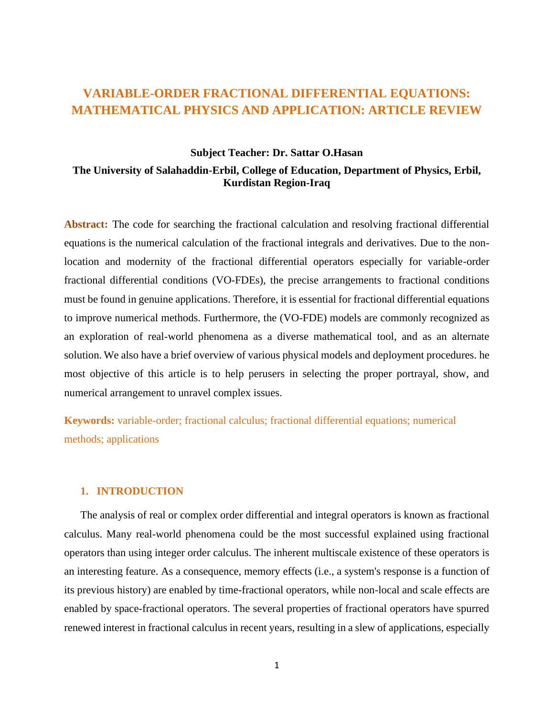# **VARIABLE-ORDER FRACTIONAL DIFFERENTIAL EQUATIONS: MATHEMATICAL PHYSICS AND APPLICATION: ARTICLE REVIEW**

# **Subject Teacher: Dr. Sattar O.Hasan**

# **The University of Salahaddin-Erbil, College of Education, Department of Physics, Erbil, Kurdistan Region-Iraq**

**Abstract:** The code for searching the fractional calculation and resolving fractional differential equations is the numerical calculation of the fractional integrals and derivatives. Due to the nonlocation and modernity of the fractional differential operators especially for variable-order fractional differential conditions (VO-FDEs), the precise arrangements to fractional conditions must be found in genuine applications. Therefore, it is essential for fractional differential equations to improve numerical methods. Furthermore, the (VO-FDE) models are commonly recognized as an exploration of real-world phenomena as a diverse mathematical tool, and as an alternate solution. We also have a brief overview of various physical models and deployment procedures. he most objective of this article is to help perusers in selecting the proper portrayal, show, and numerical arrangement to unravel complex issues.

**Keywords:** variable-order; fractional calculus; fractional differential equations; numerical methods; applications

### **1. INTRODUCTION**

The analysis of real or complex order differential and integral operators is known as fractional calculus. Many real-world phenomena could be the most successful explained using fractional operators than using integer order calculus. The inherent multiscale existence of these operators is an interesting feature. As a consequence, memory effects (i.e., a system's response is a function of its previous history) are enabled by time-fractional operators, while non-local and scale effects are enabled by space-fractional operators. The several properties of fractional operators have spurred renewed interest in fractional calculus in recent years, resulting in a slew of applications, especially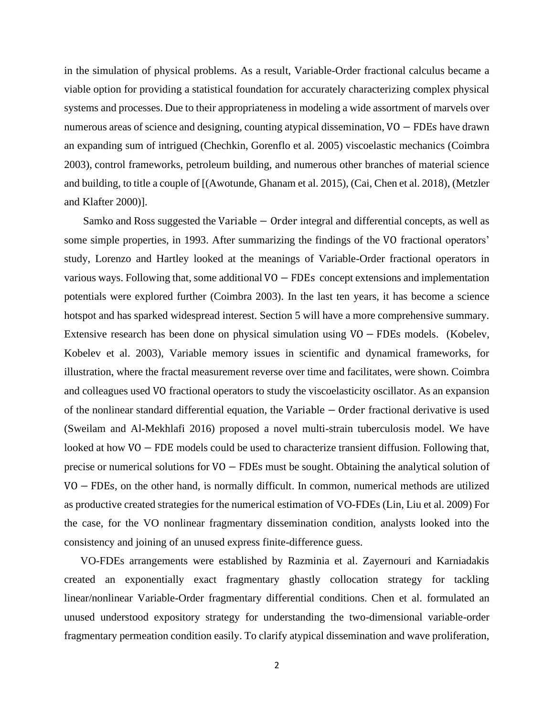in the simulation of physical problems. As a result, Variable-Order fractional calculus became a viable option for providing a statistical foundation for accurately characterizing complex physical systems and processes. Due to their appropriateness in modeling a wide assortment of marvels over numerous areas of science and designing, counting atypical dissemination, VO − FDEs have drawn an expanding sum of intrigued (Chechkin, Gorenflo et al. 2005) viscoelastic mechanics (Coimbra 2003), control frameworks, petroleum building, and numerous other branches of material science and building, to title a couple of [(Awotunde, Ghanam et al. 2015), (Cai, Chen et al. 2018), (Metzler and Klafter 2000)].

Samko and Ross suggested the Variable – Order integral and differential concepts, as well as some simple properties, in 1993. After summarizing the findings of the VO fractional operators' study, Lorenzo and Hartley looked at the meanings of Variable-Order fractional operators in various ways. Following that, some additional VO − FDEs concept extensions and implementation potentials were explored further (Coimbra 2003). In the last ten years, it has become a science hotspot and has sparked widespread interest. Section 5 will have a more comprehensive summary. Extensive research has been done on physical simulation using VO − FDEs models. (Kobelev, Kobelev et al. 2003), Variable memory issues in scientific and dynamical frameworks, for illustration, where the fractal measurement reverse over time and facilitates, were shown. Coimbra and colleagues used VO fractional operators to study the viscoelasticity oscillator. As an expansion of the nonlinear standard differential equation, the Variable − Order fractional derivative is used (Sweilam and Al-Mekhlafi 2016) proposed a novel multi-strain tuberculosis model. We have looked at how VO − FDE models could be used to characterize transient diffusion. Following that, precise or numerical solutions for VO − FDEs must be sought. Obtaining the analytical solution of VO − FDEs, on the other hand, is normally difficult. In common, numerical methods are utilized as productive created strategies for the numerical estimation of VO-FDEs (Lin, Liu et al. 2009) For the case, for the VO nonlinear fragmentary dissemination condition, analysts looked into the consistency and joining of an unused express finite-difference guess.

VO-FDEs arrangements were established by Razminia et al. Zayernouri and Karniadakis created an exponentially exact fragmentary ghastly collocation strategy for tackling linear/nonlinear Variable-Order fragmentary differential conditions. Chen et al. formulated an unused understood expository strategy for understanding the two-dimensional variable-order fragmentary permeation condition easily. To clarify atypical dissemination and wave proliferation,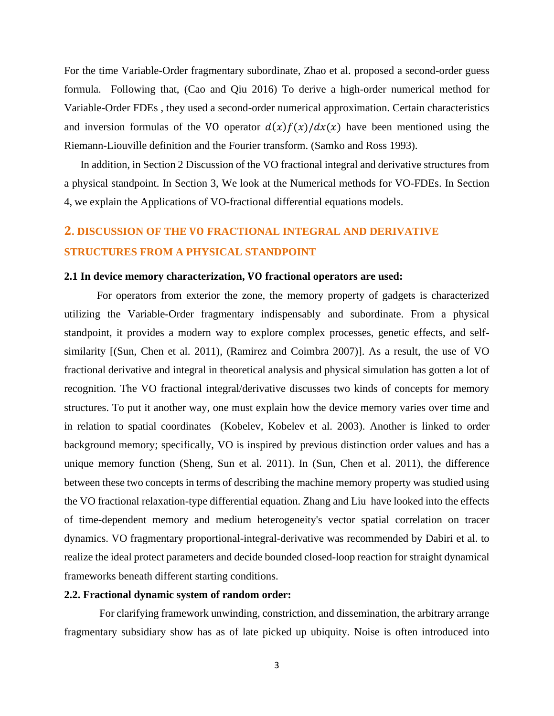For the time Variable-Order fragmentary subordinate, Zhao et al. proposed a second-order guess formula. Following that, (Cao and Qiu 2016) To derive a high-order numerical method for Variable-Order FDEs , they used a second-order numerical approximation. Certain characteristics and inversion formulas of the VO operator  $d(x)f(x)/dx(x)$  have been mentioned using the Riemann-Liouville definition and the Fourier transform. (Samko and Ross 1993).

In addition, in Section 2 Discussion of the VO fractional integral and derivative structures from a physical standpoint. In Section 3, We look at the Numerical methods for VO-FDEs. In Section 4, we explain the Applications of VO-fractional differential equations models.

# **2. DISCUSSION OF THE FRACTIONAL INTEGRAL AND DERIVATIVE STRUCTURES FROM A PHYSICAL STANDPOINT**

### **2.1 In device memory characterization, fractional operators are used:**

For operators from exterior the zone, the memory property of gadgets is characterized utilizing the Variable-Order fragmentary indispensably and subordinate. From a physical standpoint, it provides a modern way to explore complex processes, genetic effects, and selfsimilarity [(Sun, Chen et al. 2011), (Ramirez and Coimbra 2007)]. As a result, the use of VO fractional derivative and integral in theoretical analysis and physical simulation has gotten a lot of recognition. The VO fractional integral/derivative discusses two kinds of concepts for memory structures. To put it another way, one must explain how the device memory varies over time and in relation to spatial coordinates (Kobelev, Kobelev et al. 2003). Another is linked to order background memory; specifically, VO is inspired by previous distinction order values and has a unique memory function (Sheng, Sun et al. 2011). In (Sun, Chen et al. 2011), the difference between these two concepts in terms of describing the machine memory property was studied using the VO fractional relaxation-type differential equation. Zhang and Liu have looked into the effects of time-dependent memory and medium heterogeneity's vector spatial correlation on tracer dynamics. VO fragmentary proportional-integral-derivative was recommended by Dabiri et al. to realize the ideal protect parameters and decide bounded closed-loop reaction for straight dynamical frameworks beneath different starting conditions.

#### **2.2. Fractional dynamic system of random order:**

For clarifying framework unwinding, constriction, and dissemination, the arbitrary arrange fragmentary subsidiary show has as of late picked up ubiquity. Noise is often introduced into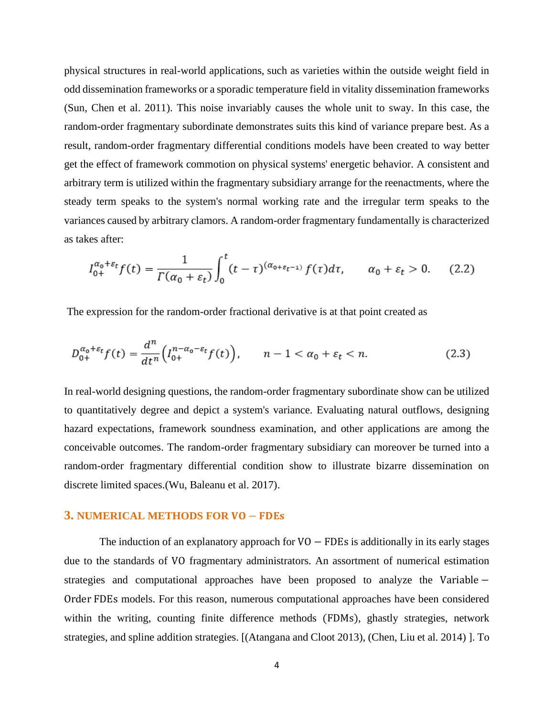physical structures in real-world applications, such as varieties within the outside weight field in odd dissemination frameworks or a sporadic temperature field in vitality dissemination frameworks (Sun, Chen et al. 2011). This noise invariably causes the whole unit to sway. In this case, the random-order fragmentary subordinate demonstrates suits this kind of variance prepare best. As a result, random-order fragmentary differential conditions models have been created to way better get the effect of framework commotion on physical systems' energetic behavior. A consistent and arbitrary term is utilized within the fragmentary subsidiary arrange for the reenactments, where the steady term speaks to the system's normal working rate and the irregular term speaks to the variances caused by arbitrary clamors. A random-order fragmentary fundamentally is characterized as takes after:

$$
I_{0+}^{\alpha_0+\varepsilon_t}f(t) = \frac{1}{\Gamma(\alpha_0+\varepsilon_t)} \int_0^t (t-\tau)^{(\alpha_0+\varepsilon_t-1)} f(\tau) d\tau, \qquad \alpha_0+\varepsilon_t > 0. \tag{2.2}
$$

The expression for the random-order fractional derivative is at that point created as

$$
D_{0+}^{\alpha_0+\varepsilon_t}f(t) = \frac{d^n}{dt^n} \Big( I_{0+}^{n-\alpha_0-\varepsilon_t}f(t) \Big), \qquad n-1 < \alpha_0 + \varepsilon_t < n. \tag{2.3}
$$

In real-world designing questions, the random-order fragmentary subordinate show can be utilized to quantitatively degree and depict a system's variance. Evaluating natural outflows, designing hazard expectations, framework soundness examination, and other applications are among the conceivable outcomes. The random-order fragmentary subsidiary can moreover be turned into a random-order fragmentary differential condition show to illustrate bizarre dissemination on discrete limited spaces.(Wu, Baleanu et al. 2017).

#### **3. NUMERICAL METHODS FOR VO – FDES**

The induction of an explanatory approach for  $VO$  – FDEs is additionally in its early stages due to the standards of VO fragmentary administrators. An assortment of numerical estimation strategies and computational approaches have been proposed to analyze the Variable − Order FDEs models. For this reason, numerous computational approaches have been considered within the writing, counting finite difference methods (FDMs), ghastly strategies, network strategies, and spline addition strategies. [(Atangana and Cloot 2013), (Chen, Liu et al. 2014) ]. To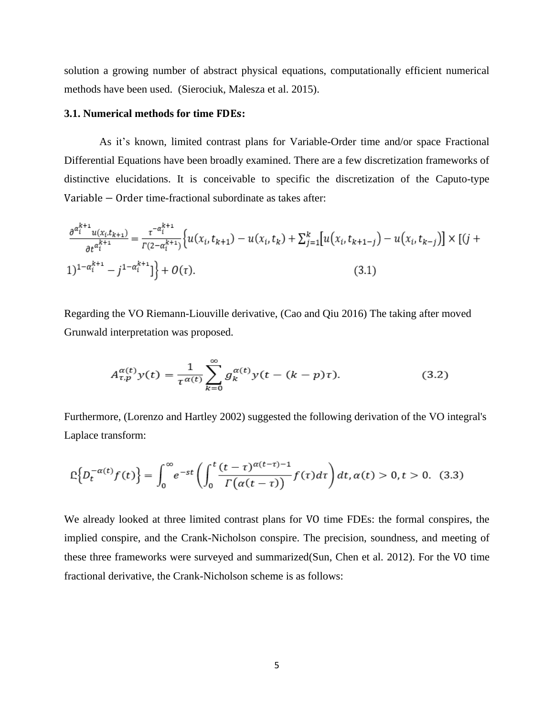solution a growing number of abstract physical equations, computationally efficient numerical methods have been used. (Sierociuk, Malesza et al. 2015).

## **3.1.** Numerical methods for time **FDEs**:

As it's known, limited contrast plans for Variable-Order time and/or space Fractional Differential Equations have been broadly examined. There are a few discretization frameworks of distinctive elucidations. It is conceivable to specific the discretization of the Caputo-type Variable − Order time-fractional subordinate as takes after:

$$
\frac{\partial^{a_i^{k+1}} u(x_i, t_{k+1})}{\partial t^{a_i^{k+1}} - j^{1 - a_i^{k+1}}}\Big\{u(x_i, t_{k+1}) - u(x_i, t_k) + \sum_{j=1}^k [u(x_i, t_{k+1-j}) - u(x_i, t_{k-j})] \times [(j+1)^{1 - a_i^{k+1}} - j^{1 - a_i^{k+1}}]\Big\} + O(\tau). \tag{3.1}
$$

Regarding the VO Riemann-Liouville derivative, (Cao and Qiu 2016) The taking after moved Grunwald interpretation was proposed.

$$
A_{\tau,p}^{\alpha(t)}y(t) = \frac{1}{\tau^{\alpha(t)}} \sum_{k=0}^{\infty} g_k^{\alpha(t)}y(t - (k - p)\tau).
$$
 (3.2)

Furthermore, (Lorenzo and Hartley 2002) suggested the following derivation of the VO integral's Laplace transform:

$$
\mathbb{E}\Big\{D_t^{-\alpha(t)}f(t)\Big\}=\int_0^\infty e^{-st}\left(\int_0^t\frac{(t-\tau)^{\alpha(t-\tau)-1}}{\Gamma\big(\alpha(t-\tau)\big)}f(\tau)d\tau\right)dt,\alpha(t)>0,t>0.\tag{3.3}
$$

We already looked at three limited contrast plans for VO time FDEs: the formal conspires, the implied conspire, and the Crank-Nicholson conspire. The precision, soundness, and meeting of these three frameworks were surveyed and summarized(Sun, Chen et al. 2012). For the VO time fractional derivative, the Crank-Nicholson scheme is as follows: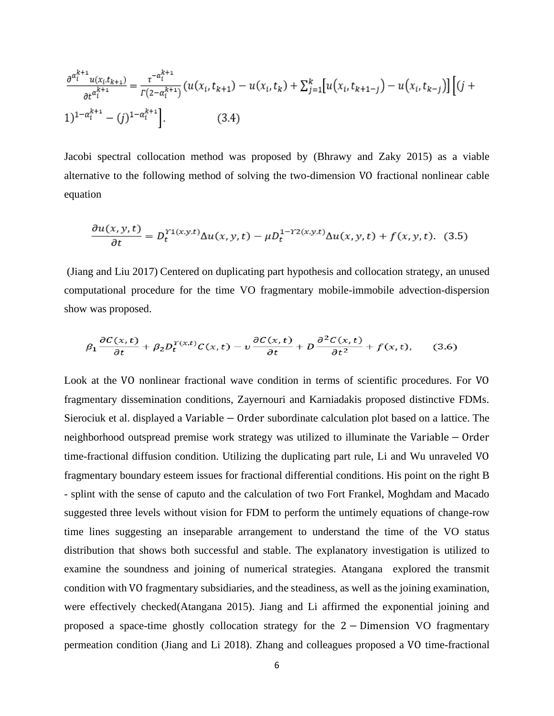$$
\frac{\partial^{a_i^{k+1}} u(x_i, t_{k+1})}{\partial t^{a_i^{k+1}}} = \frac{\tau^{-a_i^{k+1}}}{\Gamma(2 - a_i^{k+1})} \left( u(x_i, t_{k+1}) - u(x_i, t_k) + \sum_{j=1}^k \left[ u(x_i, t_{k+1-j}) - u(x_i, t_{k-j}) \right] \left[ (j+1) \right]
$$
\n
$$
(3.4)
$$

Jacobi spectral collocation method was proposed by (Bhrawy and Zaky 2015) as a viable alternative to the following method of solving the two-dimension VO fractional nonlinear cable equation

$$
\frac{\partial u(x,y,t)}{\partial t} = D_t^{\gamma_1(x,y,t)} \Delta u(x,y,t) - \mu D_t^{1-\gamma_2(x,y,t)} \Delta u(x,y,t) + f(x,y,t). \tag{3.5}
$$

(Jiang and Liu 2017) Centered on duplicating part hypothesis and collocation strategy, an unused computational procedure for the time VO fragmentary mobile-immobile advection-dispersion show was proposed.

$$
\beta_1 \frac{\partial C(x,t)}{\partial t} + \beta_2 D_t^{\Upsilon(x,t)} C(x,t) - v \frac{\partial C(x,t)}{\partial t} + D \frac{\partial^2 C(x,t)}{\partial t^2} + f(x,t), \quad (3.6)
$$

Look at the VO nonlinear fractional wave condition in terms of scientific procedures. For VO fragmentary dissemination conditions, Zayernouri and Karniadakis proposed distinctive FDMs. Sierociuk et al. displayed a Variable − Order subordinate calculation plot based on a lattice. The neighborhood outspread premise work strategy was utilized to illuminate the Variable – Order time-fractional diffusion condition. Utilizing the duplicating part rule, Li and Wu unraveled VO fragmentary boundary esteem issues for fractional differential conditions. His point on the right B - splint with the sense of caputo and the calculation of two Fort Frankel, Moghdam and Macado suggested three levels without vision for FDM to perform the untimely equations of change-row time lines suggesting an inseparable arrangement to understand the time of the VO status distribution that shows both successful and stable. The explanatory investigation is utilized to examine the soundness and joining of numerical strategies. Atangana explored the transmit condition with VO fragmentary subsidiaries, and the steadiness, as well as the joining examination, were effectively checked(Atangana 2015). Jiang and Li affirmed the exponential joining and proposed a space-time ghostly collocation strategy for the 2 − Dimension VO fragmentary permeation condition (Jiang and Li 2018). Zhang and colleagues proposed a VO time-fractional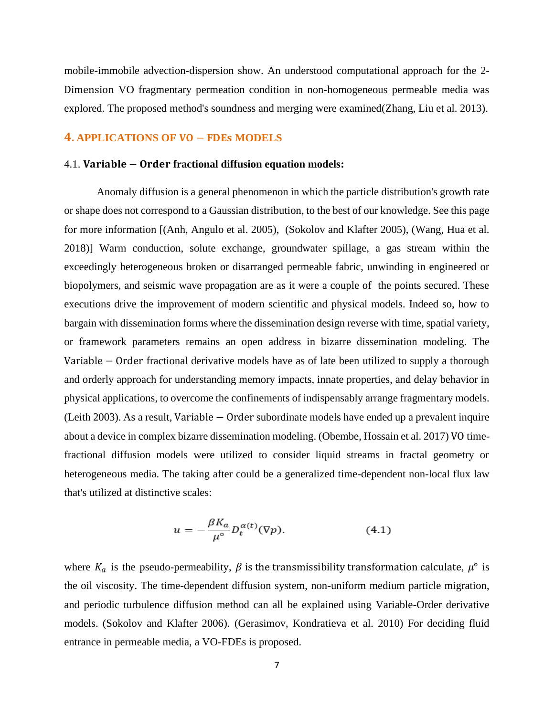mobile-immobile advection-dispersion show. An understood computational approach for the 2- Dimension VO fragmentary permeation condition in non-homogeneous permeable media was explored. The proposed method's soundness and merging were examined(Zhang, Liu et al. 2013).

# **4. APPLICATIONS OF VO – FDES MODELS**

## 4.1. Variable – Order fractional diffusion equation models:

Anomaly diffusion is a general phenomenon in which the particle distribution's growth rate or shape does not correspond to a Gaussian distribution, to the best of our knowledge. See this page for more information [(Anh, Angulo et al. 2005), (Sokolov and Klafter 2005), (Wang, Hua et al. 2018)] Warm conduction, solute exchange, groundwater spillage, a gas stream within the exceedingly heterogeneous broken or disarranged permeable fabric, unwinding in engineered or biopolymers, and seismic wave propagation are as it were a couple of the points secured. These executions drive the improvement of modern scientific and physical models. Indeed so, how to bargain with dissemination forms where the dissemination design reverse with time, spatial variety, or framework parameters remains an open address in bizarre dissemination modeling. The Variable − Order fractional derivative models have as of late been utilized to supply a thorough and orderly approach for understanding memory impacts, innate properties, and delay behavior in physical applications, to overcome the confinements of indispensably arrange fragmentary models. (Leith 2003). As a result, Variable − Order subordinate models have ended up a prevalent inquire about a device in complex bizarre dissemination modeling. (Obembe, Hossain et al. 2017) VO timefractional diffusion models were utilized to consider liquid streams in fractal geometry or heterogeneous media. The taking after could be a generalized time-dependent non-local flux law that's utilized at distinctive scales:

$$
u = -\frac{\beta K_a}{\mu^{\circ}} D_t^{\alpha(t)}(\nabla p). \tag{4.1}
$$

where  $K_a$  is the pseudo-permeability,  $\beta$  is the transmissibility transformation calculate,  $\mu^{\circ}$  is the oil viscosity. The time-dependent diffusion system, non-uniform medium particle migration, and periodic turbulence diffusion method can all be explained using Variable-Order derivative models. (Sokolov and Klafter 2006). (Gerasimov, Kondratieva et al. 2010) For deciding fluid entrance in permeable media, a VO-FDEs is proposed.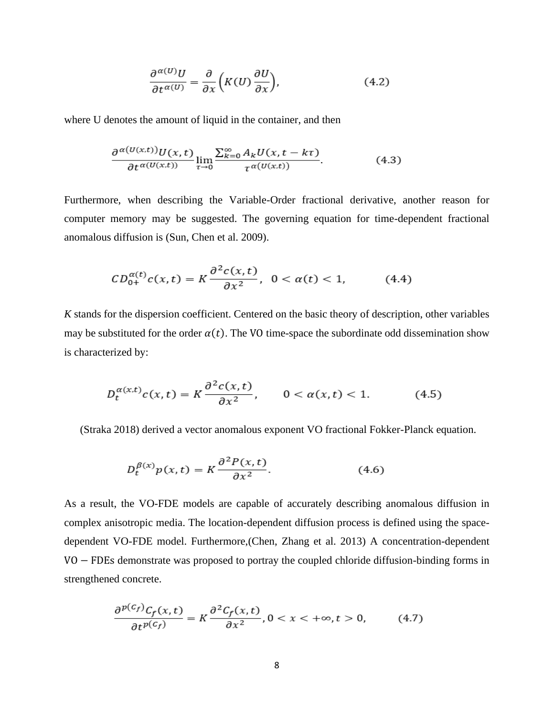$$
\frac{\partial^{\alpha(U)}U}{\partial t^{\alpha(U)}} = \frac{\partial}{\partial x}\left(K(U)\frac{\partial U}{\partial x}\right),\tag{4.2}
$$

where U denotes the amount of liquid in the container, and then

$$
\frac{\partial^{\alpha(U(x,t))}U(x,t)}{\partial t^{\alpha(U(x,t))}}\lim_{\tau\to 0}\frac{\sum_{k=0}^{\infty}A_kU(x,t-k\tau)}{\tau^{\alpha(U(x,t))}}.\tag{4.3}
$$

Furthermore, when describing the Variable-Order fractional derivative, another reason for computer memory may be suggested. The governing equation for time-dependent fractional anomalous diffusion is (Sun, Chen et al. 2009).

$$
CD_{0+}^{\alpha(t)}c(x,t) = K\frac{\partial^2 c(x,t)}{\partial x^2}, \ \ 0 < \alpha(t) < 1,\tag{4.4}
$$

*K* stands for the dispersion coefficient. Centered on the basic theory of description, other variables may be substituted for the order  $\alpha(t)$ . The VO time-space the subordinate odd dissemination show is characterized by:

$$
D_t^{\alpha(x,t)}c(x,t) = K\frac{\partial^2 c(x,t)}{\partial x^2}, \qquad 0 < \alpha(x,t) < 1. \tag{4.5}
$$

(Straka 2018) derived a vector anomalous exponent VO fractional Fokker-Planck equation.

$$
D_t^{\beta(x)} p(x, t) = K \frac{\partial^2 P(x, t)}{\partial x^2}.
$$
 (4.6)

As a result, the VO-FDE models are capable of accurately describing anomalous diffusion in complex anisotropic media. The location-dependent diffusion process is defined using the spacedependent VO-FDE model. Furthermore,(Chen, Zhang et al. 2013) A concentration-dependent VO − FDEs demonstrate was proposed to portray the coupled chloride diffusion-binding forms in strengthened concrete.

$$
\frac{\partial^{p(c_f)}C_f(x,t)}{\partial t^{p(c_f)}} = K \frac{\partial^2 C_f(x,t)}{\partial x^2}, 0 < x < +\infty, t > 0,\tag{4.7}
$$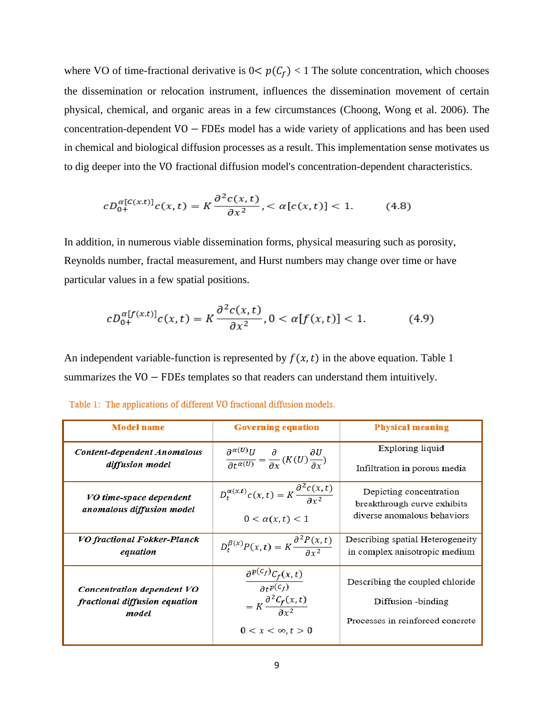where VO of time-fractional derivative is  $0 < p(C_f) < 1$  The solute concentration, which chooses the dissemination or relocation instrument, influences the dissemination movement of certain physical, chemical, and organic areas in a few circumstances (Choong, Wong et al. 2006). The concentration-dependent VO − FDEs model has a wide variety of applications and has been used in chemical and biological diffusion processes as a result. This implementation sense motivates us to dig deeper into the VO fractional diffusion model's concentration-dependent characteristics.

$$
cD_{0+}^{\alpha[C(x,t)]}c(x,t) = K\frac{\partial^2 c(x,t)}{\partial x^2}, < \alpha[c(x,t)] < 1. \tag{4.8}
$$

In addition, in numerous viable dissemination forms, physical measuring such as porosity, Reynolds number, fractal measurement, and Hurst numbers may change over time or have particular values in a few spatial positions.

$$
cD_{0+}^{\alpha[f(x,t)]}c(x,t) = K\frac{\partial^2 c(x,t)}{\partial x^2}, 0 < \alpha[f(x,t)] < 1. \tag{4.9}
$$

An independent variable-function is represented by  $f(x,t)$  in the above equation. Table 1 summarizes the VO − FDEs templates so that readers can understand them intuitively.

| <b>Model name</b>                       | <b>Governing equation</b>                                                                                               | <b>Physical meaning</b>                                           |
|-----------------------------------------|-------------------------------------------------------------------------------------------------------------------------|-------------------------------------------------------------------|
| Content-dependent Anomalous             | $\frac{\partial^{\alpha(U)}U}{\partial t^{\alpha(U)}} = \frac{\partial}{\partial x}(K(U)\frac{\partial U}{\partial x})$ | Exploring liquid                                                  |
| diffusion model                         |                                                                                                                         | Infiltration in porous media                                      |
| VO time-space dependent                 | $D_t^{\alpha(x,t)}c(x,t) = K \frac{\partial^2 c(x,t)}{\partial x^2}$                                                    | Depicting concentration                                           |
| anomalous diffusion model               | $0 < \alpha(x, t) < 1$                                                                                                  | breakthrough curve exhibits<br>diverse anomalous behaviors        |
| VO fractional Fokker-Planck<br>equation | $D_t^{\beta(x)}P(x,t) = K \frac{\partial^2 P(x,t)}{\partial x^2}$                                                       | Describing spatial Heterogeneity<br>in complex anisotropic medium |
| Concentration dependent VO              | $\frac{\partial^{p(c_f)}C_f(x,t)}{\partial t^{p(c_f)}}$                                                                 | Describing the coupled chloride                                   |
| fractional diffusion equation           | $= K \frac{\partial^2 C_f(x,t)}{\partial x^2}$                                                                          | Diffusion -binding                                                |
| model                                   | $0 < x < \infty$ , $t > 0$                                                                                              | Processes in reinforced concrete                                  |

Table 1: The applications of different VO fractional diffusion models.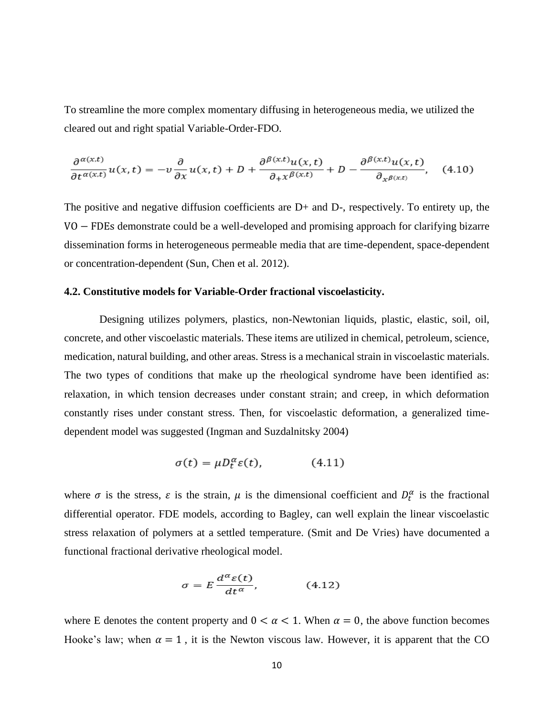To streamline the more complex momentary diffusing in heterogeneous media, we utilized the cleared out and right spatial Variable-Order-FDO.

$$
\frac{\partial^{a(x,t)}}{\partial t^{a(x,t)}}u(x,t) = -v\frac{\partial}{\partial x}u(x,t) + D + \frac{\partial^{\beta(x,t)}u(x,t)}{\partial x^{\beta(x,t)}} + D - \frac{\partial^{\beta(x,t)}u(x,t)}{\partial x^{\beta(x,t)}}, \quad (4.10)
$$

The positive and negative diffusion coefficients are D+ and D-, respectively. To entirety up, the VO − FDEs demonstrate could be a well-developed and promising approach for clarifying bizarre dissemination forms in heterogeneous permeable media that are time-dependent, space-dependent or concentration-dependent (Sun, Chen et al. 2012).

### **4.2. Constitutive models for Variable-Order fractional viscoelasticity.**

Designing utilizes polymers, plastics, non-Newtonian liquids, plastic, elastic, soil, oil, concrete, and other viscoelastic materials. These items are utilized in chemical, petroleum, science, medication, natural building, and other areas. Stress is a mechanical strain in viscoelastic materials. The two types of conditions that make up the rheological syndrome have been identified as: relaxation, in which tension decreases under constant strain; and creep, in which deformation constantly rises under constant stress. Then, for viscoelastic deformation, a generalized timedependent model was suggested (Ingman and Suzdalnitsky 2004)

$$
\sigma(t) = \mu D_t^{\alpha} \varepsilon(t), \qquad (4.11)
$$

where  $\sigma$  is the stress,  $\varepsilon$  is the strain,  $\mu$  is the dimensional coefficient and  $D_t^{\alpha}$  is the fractional differential operator. FDE models, according to Bagley, can well explain the linear viscoelastic stress relaxation of polymers at a settled temperature. (Smit and De Vries) have documented a functional fractional derivative rheological model.

$$
\sigma = E \frac{d^{\alpha} \varepsilon(t)}{dt^{\alpha}}, \qquad (4.12)
$$

where E denotes the content property and  $0 < \alpha < 1$ . When  $\alpha = 0$ , the above function becomes Hooke's law; when  $\alpha = 1$ , it is the Newton viscous law. However, it is apparent that the CO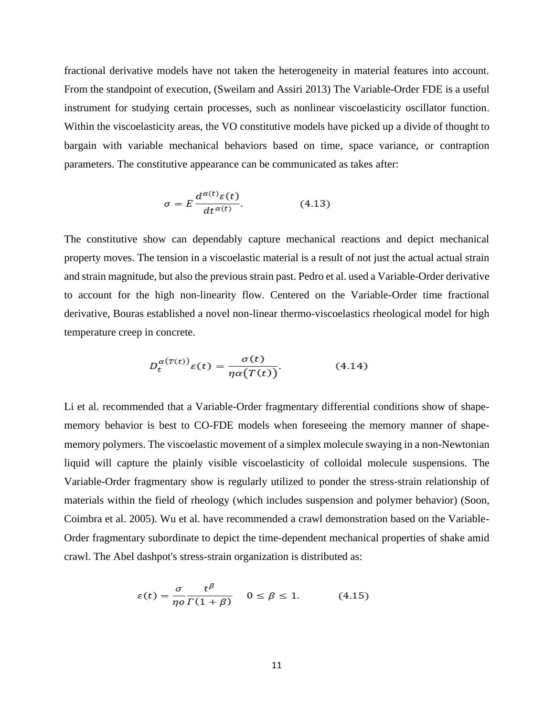fractional derivative models have not taken the heterogeneity in material features into account. From the standpoint of execution, (Sweilam and Assiri 2013) The Variable-Order FDE is a useful instrument for studying certain processes, such as nonlinear viscoelasticity oscillator function. Within the viscoelasticity areas, the VO constitutive models have picked up a divide of thought to bargain with variable mechanical behaviors based on time, space variance, or contraption parameters. The constitutive appearance can be communicated as takes after:

$$
\sigma = E \frac{d^{\alpha(t)} \varepsilon(t)}{dt^{\alpha(t)}}.
$$
 (4.13)

The constitutive show can dependably capture mechanical reactions and depict mechanical property moves. The tension in a viscoelastic material is a result of not just the actual actual strain and strain magnitude, but also the previous strain past. Pedro et al. used a Variable-Order derivative to account for the high non-linearity flow. Centered on the Variable-Order time fractional derivative, Bouras established a novel non-linear thermo-viscoelastics rheological model for high temperature creep in concrete.

$$
D_t^{\alpha(T(t))}\varepsilon(t) = \frac{\sigma(t)}{\eta \alpha(T(t))}.
$$
 (4.14)

Li et al. recommended that a Variable-Order fragmentary differential conditions show of shapememory behavior is best to CO-FDE models when foreseeing the memory manner of shapememory polymers. The viscoelastic movement of a simplex molecule swaying in a non-Newtonian liquid will capture the plainly visible viscoelasticity of colloidal molecule suspensions. The Variable-Order fragmentary show is regularly utilized to ponder the stress-strain relationship of materials within the field of rheology (which includes suspension and polymer behavior) (Soon, Coimbra et al. 2005). Wu et al. have recommended a crawl demonstration based on the Variable-Order fragmentary subordinate to depict the time-dependent mechanical properties of shake amid crawl. The Abel dashpot's stress-strain organization is distributed as:

$$
\varepsilon(t) = \frac{\sigma}{\eta o} \frac{t^{\beta}}{\Gamma(1+\beta)} \quad 0 \le \beta \le 1. \tag{4.15}
$$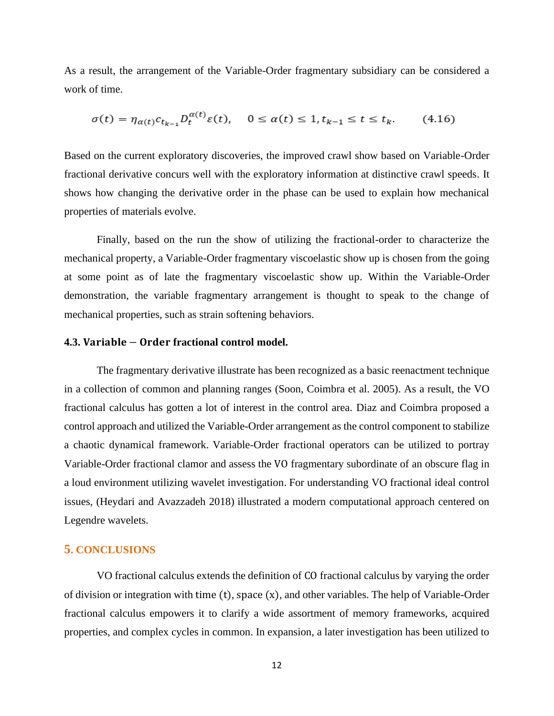As a result, the arrangement of the Variable-Order fragmentary subsidiary can be considered a work of time.

$$
\sigma(t) = \eta_{\alpha(t)} c_{t_{k-1}} D_t^{\alpha(t)} \varepsilon(t), \quad 0 \le \alpha(t) \le 1, t_{k-1} \le t \le t_k. \tag{4.16}
$$

Based on the current exploratory discoveries, the improved crawl show based on Variable-Order fractional derivative concurs well with the exploratory information at distinctive crawl speeds. It shows how changing the derivative order in the phase can be used to explain how mechanical properties of materials evolve.

Finally, based on the run the show of utilizing the fractional-order to characterize the mechanical property, a Variable-Order fragmentary viscoelastic show up is chosen from the going at some point as of late the fragmentary viscoelastic show up. Within the Variable-Order demonstration, the variable fragmentary arrangement is thought to speak to the change of mechanical properties, such as strain softening behaviors.

### **4.3. Variable – Order fractional control model.**

 $\sim$ 

The fragmentary derivative illustrate has been recognized as a basic reenactment technique in a collection of common and planning ranges (Soon, Coimbra et al. 2005). As a result, the VO fractional calculus has gotten a lot of interest in the control area. Diaz and Coimbra proposed a control approach and utilized the Variable-Order arrangement as the control component to stabilize a chaotic dynamical framework. Variable-Order fractional operators can be utilized to portray Variable-Order fractional clamor and assess the VO fragmentary subordinate of an obscure flag in a loud environment utilizing wavelet investigation. For understanding VO fractional ideal control issues, (Heydari and Avazzadeh 2018) illustrated a modern computational approach centered on Legendre wavelets.

## **5. CONCLUSIONS**

VO fractional calculus extends the definition of CO fractional calculus by varying the order of division or integration with time (t), space (x), and other variables. The help of Variable-Order fractional calculus empowers it to clarify a wide assortment of memory frameworks, acquired properties, and complex cycles in common. In expansion, a later investigation has been utilized to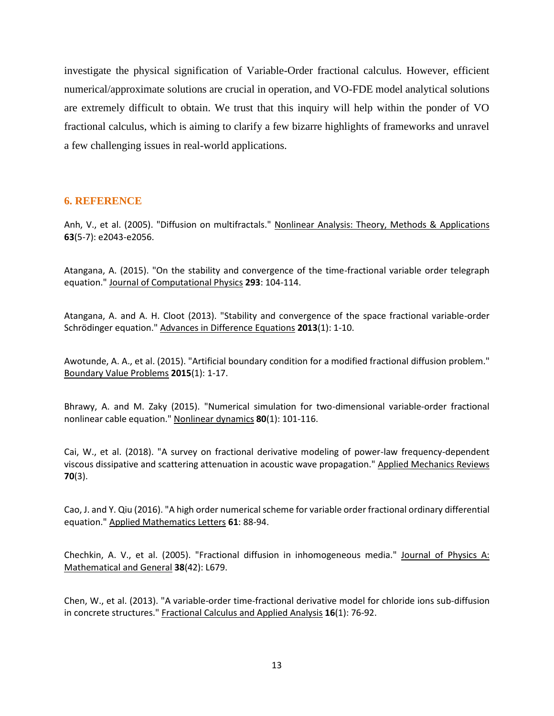investigate the physical signification of Variable-Order fractional calculus. However, efficient numerical/approximate solutions are crucial in operation, and VO-FDE model analytical solutions are extremely difficult to obtain. We trust that this inquiry will help within the ponder of VO fractional calculus, which is aiming to clarify a few bizarre highlights of frameworks and unravel a few challenging issues in real-world applications.

# **6. REFERENCE**

Anh, V., et al. (2005). "Diffusion on multifractals." Nonlinear Analysis: Theory, Methods & Applications **63**(5-7): e2043-e2056.

Atangana, A. (2015). "On the stability and convergence of the time-fractional variable order telegraph equation." Journal of Computational Physics **293**: 104-114.

Atangana, A. and A. H. Cloot (2013). "Stability and convergence of the space fractional variable-order Schrödinger equation." Advances in Difference Equations **2013**(1): 1-10.

Awotunde, A. A., et al. (2015). "Artificial boundary condition for a modified fractional diffusion problem." Boundary Value Problems **2015**(1): 1-17.

Bhrawy, A. and M. Zaky (2015). "Numerical simulation for two-dimensional variable-order fractional nonlinear cable equation." Nonlinear dynamics **80**(1): 101-116.

Cai, W., et al. (2018). "A survey on fractional derivative modeling of power-law frequency-dependent viscous dissipative and scattering attenuation in acoustic wave propagation." Applied Mechanics Reviews **70**(3).

Cao, J. and Y. Qiu (2016). "A high order numerical scheme for variable order fractional ordinary differential equation." Applied Mathematics Letters **61**: 88-94.

Chechkin, A. V., et al. (2005). "Fractional diffusion in inhomogeneous media." Journal of Physics A: Mathematical and General **38**(42): L679.

Chen, W., et al. (2013). "A variable-order time-fractional derivative model for chloride ions sub-diffusion in concrete structures." Fractional Calculus and Applied Analysis **16**(1): 76-92.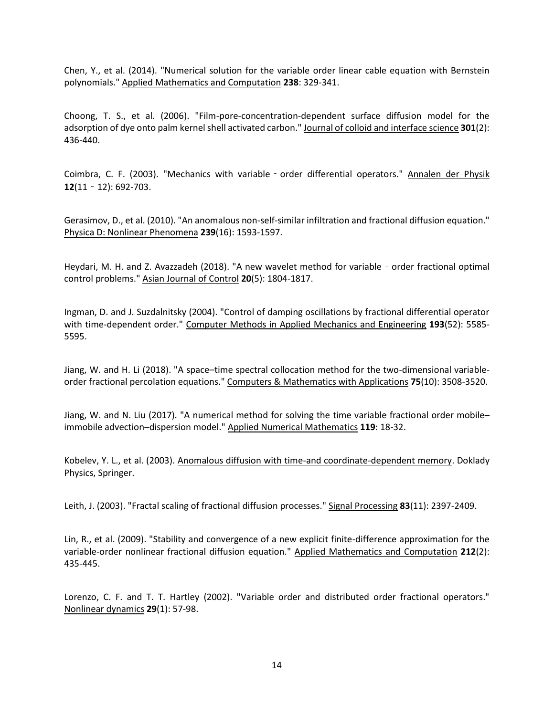Chen, Y., et al. (2014). "Numerical solution for the variable order linear cable equation with Bernstein polynomials." Applied Mathematics and Computation **238**: 329-341.

Choong, T. S., et al. (2006). "Film-pore-concentration-dependent surface diffusion model for the adsorption of dye onto palm kernel shell activated carbon." Journal of colloid and interface science **301**(2): 436-440.

Coimbra, C. F. (2003). "Mechanics with variable‐order differential operators." Annalen der Physik **12**(11‐12): 692-703.

Gerasimov, D., et al. (2010). "An anomalous non-self-similar infiltration and fractional diffusion equation." Physica D: Nonlinear Phenomena **239**(16): 1593-1597.

Heydari, M. H. and Z. Avazzadeh (2018). "A new wavelet method for variable - order fractional optimal control problems." Asian Journal of Control **20**(5): 1804-1817.

Ingman, D. and J. Suzdalnitsky (2004). "Control of damping oscillations by fractional differential operator with time-dependent order." Computer Methods in Applied Mechanics and Engineering **193**(52): 5585- 5595.

Jiang, W. and H. Li (2018). "A space–time spectral collocation method for the two-dimensional variableorder fractional percolation equations." Computers & Mathematics with Applications **75**(10): 3508-3520.

Jiang, W. and N. Liu (2017). "A numerical method for solving the time variable fractional order mobile– immobile advection–dispersion model." Applied Numerical Mathematics **119**: 18-32.

Kobelev, Y. L., et al. (2003). Anomalous diffusion with time-and coordinate-dependent memory. Doklady Physics, Springer.

Leith, J. (2003). "Fractal scaling of fractional diffusion processes." Signal Processing **83**(11): 2397-2409.

Lin, R., et al. (2009). "Stability and convergence of a new explicit finite-difference approximation for the variable-order nonlinear fractional diffusion equation." Applied Mathematics and Computation **212**(2): 435-445.

Lorenzo, C. F. and T. T. Hartley (2002). "Variable order and distributed order fractional operators." Nonlinear dynamics **29**(1): 57-98.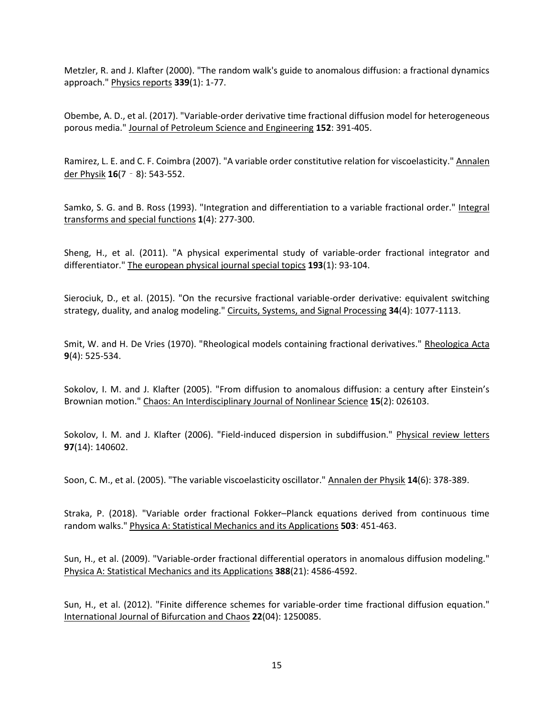Metzler, R. and J. Klafter (2000). "The random walk's guide to anomalous diffusion: a fractional dynamics approach." Physics reports **339**(1): 1-77.

Obembe, A. D., et al. (2017). "Variable-order derivative time fractional diffusion model for heterogeneous porous media." Journal of Petroleum Science and Engineering **152**: 391-405.

Ramirez, L. E. and C. F. Coimbra (2007). "A variable order constitutive relation for viscoelasticity." Annalen der Physik **16**(7‐8): 543-552.

Samko, S. G. and B. Ross (1993). "Integration and differentiation to a variable fractional order." Integral transforms and special functions **1**(4): 277-300.

Sheng, H., et al. (2011). "A physical experimental study of variable-order fractional integrator and differentiator." The european physical journal special topics **193**(1): 93-104.

Sierociuk, D., et al. (2015). "On the recursive fractional variable-order derivative: equivalent switching strategy, duality, and analog modeling." Circuits, Systems, and Signal Processing **34**(4): 1077-1113.

Smit, W. and H. De Vries (1970). "Rheological models containing fractional derivatives." Rheologica Acta **9**(4): 525-534.

Sokolov, I. M. and J. Klafter (2005). "From diffusion to anomalous diffusion: a century after Einstein's Brownian motion." Chaos: An Interdisciplinary Journal of Nonlinear Science **15**(2): 026103.

Sokolov, I. M. and J. Klafter (2006). "Field-induced dispersion in subdiffusion." Physical review letters **97**(14): 140602.

Soon, C. M., et al. (2005). "The variable viscoelasticity oscillator." Annalen der Physik **14**(6): 378-389.

Straka, P. (2018). "Variable order fractional Fokker–Planck equations derived from continuous time random walks." Physica A: Statistical Mechanics and its Applications **503**: 451-463.

Sun, H., et al. (2009). "Variable-order fractional differential operators in anomalous diffusion modeling." Physica A: Statistical Mechanics and its Applications **388**(21): 4586-4592.

Sun, H., et al. (2012). "Finite difference schemes for variable-order time fractional diffusion equation." International Journal of Bifurcation and Chaos **22**(04): 1250085.